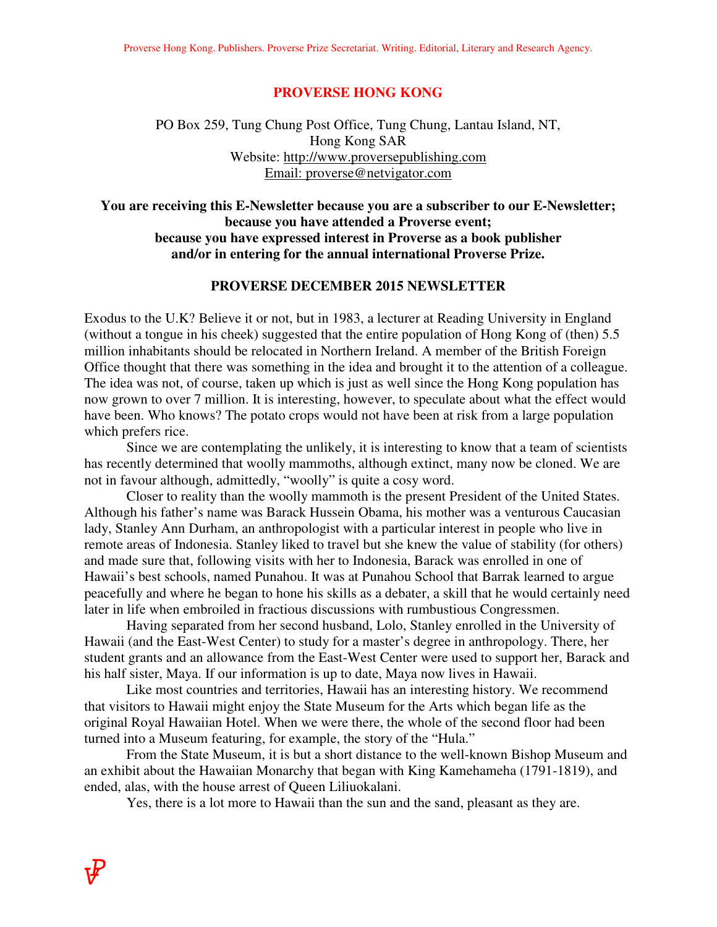#### **PROVERSE HONG KONG**

## PO Box 259, Tung Chung Post Office, Tung Chung, Lantau Island, NT, Hong Kong SAR Website: http://www.proversepublishing.com Email: proverse@netvigator.com

## **You are receiving this E-Newsletter because you are a subscriber to our E-Newsletter; because you have attended a Proverse event; because you have expressed interest in Proverse as a book publisher and/or in entering for the annual international Proverse Prize.**

### **PROVERSE DECEMBER 2015 NEWSLETTER**

Exodus to the U.K? Believe it or not, but in 1983, a lecturer at Reading University in England (without a tongue in his cheek) suggested that the entire population of Hong Kong of (then) 5.5 million inhabitants should be relocated in Northern Ireland. A member of the British Foreign Office thought that there was something in the idea and brought it to the attention of a colleague. The idea was not, of course, taken up which is just as well since the Hong Kong population has now grown to over 7 million. It is interesting, however, to speculate about what the effect would have been. Who knows? The potato crops would not have been at risk from a large population which prefers rice.

 Since we are contemplating the unlikely, it is interesting to know that a team of scientists has recently determined that woolly mammoths, although extinct, many now be cloned. We are not in favour although, admittedly, "woolly" is quite a cosy word.

 Closer to reality than the woolly mammoth is the present President of the United States. Although his father's name was Barack Hussein Obama, his mother was a venturous Caucasian lady, Stanley Ann Durham, an anthropologist with a particular interest in people who live in remote areas of Indonesia. Stanley liked to travel but she knew the value of stability (for others) and made sure that, following visits with her to Indonesia, Barack was enrolled in one of Hawaii's best schools, named Punahou. It was at Punahou School that Barrak learned to argue peacefully and where he began to hone his skills as a debater, a skill that he would certainly need later in life when embroiled in fractious discussions with rumbustious Congressmen.

 Having separated from her second husband, Lolo, Stanley enrolled in the University of Hawaii (and the East-West Center) to study for a master's degree in anthropology. There, her student grants and an allowance from the East-West Center were used to support her, Barack and his half sister, Maya. If our information is up to date, Maya now lives in Hawaii.

 Like most countries and territories, Hawaii has an interesting history. We recommend that visitors to Hawaii might enjoy the State Museum for the Arts which began life as the original Royal Hawaiian Hotel. When we were there, the whole of the second floor had been turned into a Museum featuring, for example, the story of the "Hula."

 From the State Museum, it is but a short distance to the well-known Bishop Museum and an exhibit about the Hawaiian Monarchy that began with King Kamehameha (1791-1819), and ended, alas, with the house arrest of Queen Liliuokalani.

Yes, there is a lot more to Hawaii than the sun and the sand, pleasant as they are.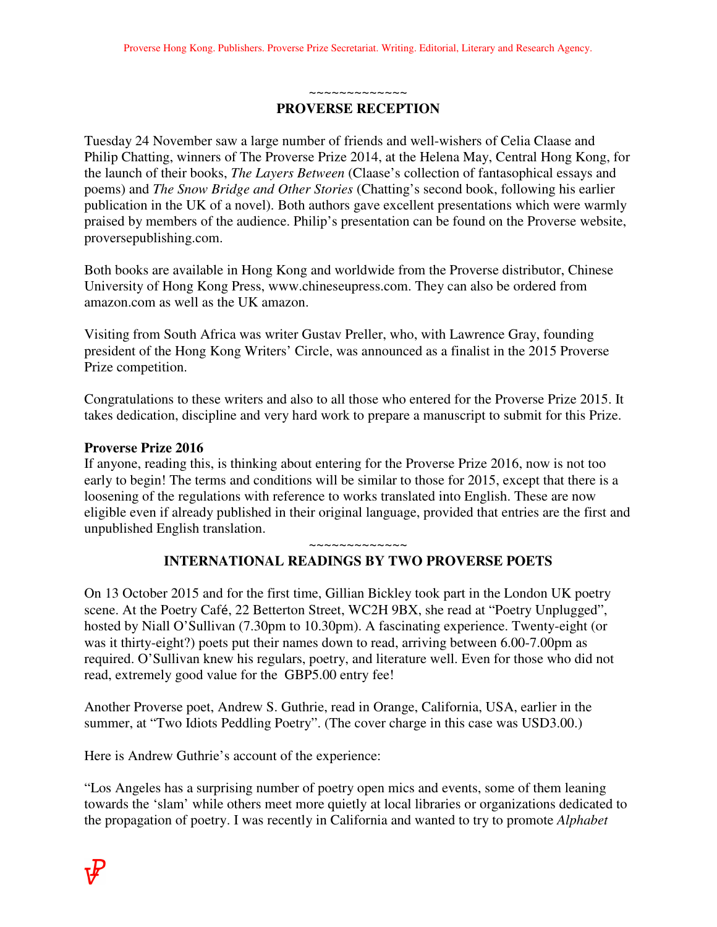~~~~~~~~~~~~~ **PROVERSE RECEPTION** 

Tuesday 24 November saw a large number of friends and well-wishers of Celia Claase and Philip Chatting, winners of The Proverse Prize 2014, at the Helena May, Central Hong Kong, for the launch of their books, *The Layers Between* (Claase's collection of fantasophical essays and poems) and *The Snow Bridge and Other Stories* (Chatting's second book, following his earlier publication in the UK of a novel). Both authors gave excellent presentations which were warmly praised by members of the audience. Philip's presentation can be found on the Proverse website, proversepublishing.com.

Both books are available in Hong Kong and worldwide from the Proverse distributor, Chinese University of Hong Kong Press, www.chineseupress.com. They can also be ordered from amazon.com as well as the UK amazon.

Visiting from South Africa was writer Gustav Preller, who, with Lawrence Gray, founding president of the Hong Kong Writers' Circle, was announced as a finalist in the 2015 Proverse Prize competition.

Congratulations to these writers and also to all those who entered for the Proverse Prize 2015. It takes dedication, discipline and very hard work to prepare a manuscript to submit for this Prize.

## **Proverse Prize 2016**

If anyone, reading this, is thinking about entering for the Proverse Prize 2016, now is not too early to begin! The terms and conditions will be similar to those for 2015, except that there is a loosening of the regulations with reference to works translated into English. These are now eligible even if already published in their original language, provided that entries are the first and unpublished English translation.

~~~~~~~~~~~~~

## **INTERNATIONAL READINGS BY TWO PROVERSE POETS**

On 13 October 2015 and for the first time, Gillian Bickley took part in the London UK poetry scene. At the Poetry Café, 22 Betterton Street, WC2H 9BX, she read at "Poetry Unplugged", hosted by Niall O'Sullivan (7.30pm to 10.30pm). A fascinating experience. Twenty-eight (or was it thirty-eight?) poets put their names down to read, arriving between 6.00-7.00pm as required. O'Sullivan knew his regulars, poetry, and literature well. Even for those who did not read, extremely good value for the GBP5.00 entry fee!

Another Proverse poet, Andrew S. Guthrie, read in Orange, California, USA, earlier in the summer, at "Two Idiots Peddling Poetry". (The cover charge in this case was USD3.00.)

Here is Andrew Guthrie's account of the experience:

"Los Angeles has a surprising number of poetry open mics and events, some of them leaning towards the 'slam' while others meet more quietly at local libraries or organizations dedicated to the propagation of poetry. I was recently in California and wanted to try to promote *Alphabet*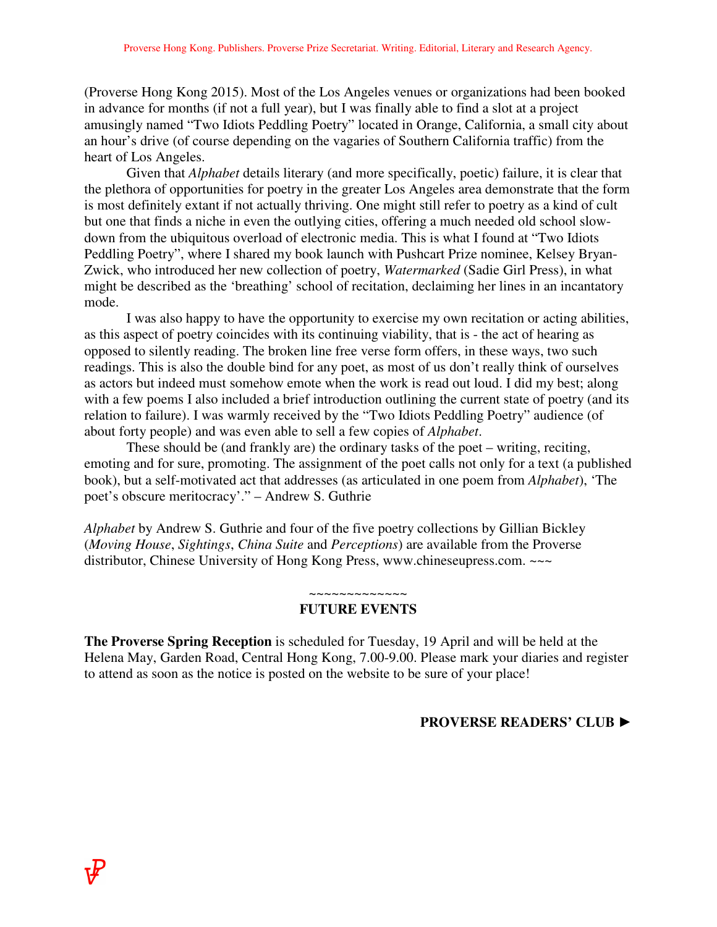(Proverse Hong Kong 2015). Most of the Los Angeles venues or organizations had been booked in advance for months (if not a full year), but I was finally able to find a slot at a project amusingly named "Two Idiots Peddling Poetry" located in Orange, California, a small city about an hour's drive (of course depending on the vagaries of Southern California traffic) from the heart of Los Angeles.

 Given that *Alphabet* details literary (and more specifically, poetic) failure, it is clear that the plethora of opportunities for poetry in the greater Los Angeles area demonstrate that the form is most definitely extant if not actually thriving. One might still refer to poetry as a kind of cult but one that finds a niche in even the outlying cities, offering a much needed old school slowdown from the ubiquitous overload of electronic media. This is what I found at "Two Idiots Peddling Poetry", where I shared my book launch with Pushcart Prize nominee, Kelsey Bryan-Zwick, who introduced her new collection of poetry, *Watermarked* (Sadie Girl Press), in what might be described as the 'breathing' school of recitation, declaiming her lines in an incantatory mode.

 I was also happy to have the opportunity to exercise my own recitation or acting abilities, as this aspect of poetry coincides with its continuing viability, that is - the act of hearing as opposed to silently reading. The broken line free verse form offers, in these ways, two such readings. This is also the double bind for any poet, as most of us don't really think of ourselves as actors but indeed must somehow emote when the work is read out loud. I did my best; along with a few poems I also included a brief introduction outlining the current state of poetry (and its relation to failure). I was warmly received by the "Two Idiots Peddling Poetry" audience (of about forty people) and was even able to sell a few copies of *Alphabet*.

 These should be (and frankly are) the ordinary tasks of the poet – writing, reciting, emoting and for sure, promoting. The assignment of the poet calls not only for a text (a published book), but a self-motivated act that addresses (as articulated in one poem from *Alphabet*), 'The poet's obscure meritocracy'." – Andrew S. Guthrie

*Alphabet* by Andrew S. Guthrie and four of the five poetry collections by Gillian Bickley (*Moving House*, *Sightings*, *China Suite* and *Perceptions*) are available from the Proverse distributor, Chinese University of Hong Kong Press, www.chineseupress.com. ~~~

# ~~~~~~~~~~~~~

#### **FUTURE EVENTS**

**The Proverse Spring Reception** is scheduled for Tuesday, 19 April and will be held at the Helena May, Garden Road, Central Hong Kong, 7.00-9.00. Please mark your diaries and register to attend as soon as the notice is posted on the website to be sure of your place!

## **PROVERSE READERS' CLUB ►**